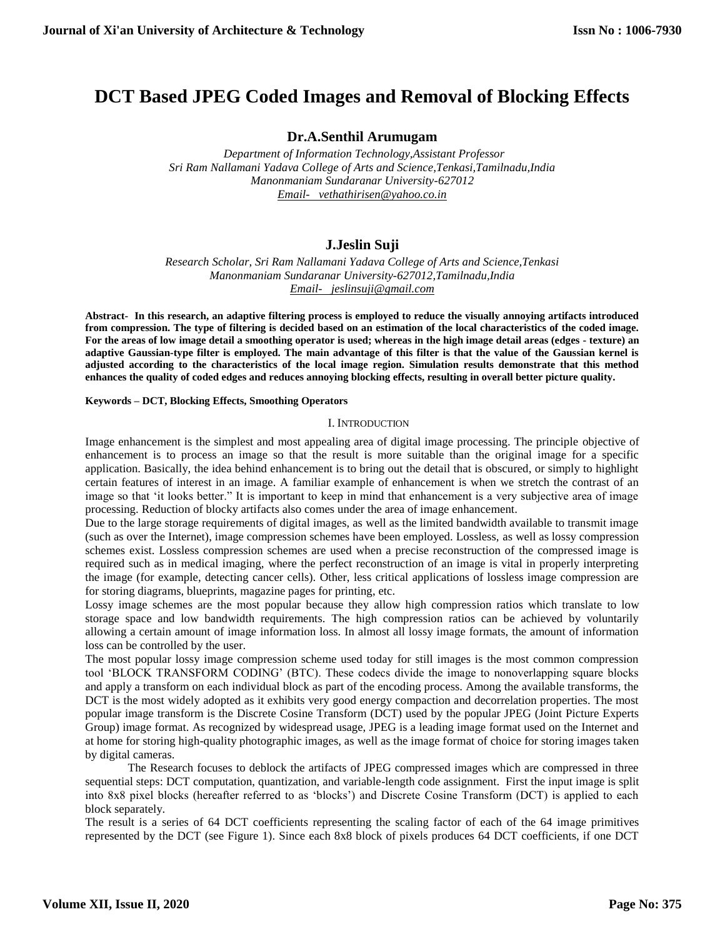# **DCT Based JPEG Coded Images and Removal of Blocking Effects**

# **Dr.A.Senthil Arumugam**

 *Department of Information Technology,Assistant Professor Sri Ram Nallamani Yadava College of Arts and Science,Tenkasi,Tamilnadu,India Manonmaniam Sundaranar University-627012 [Email- vethathirisen@yahoo.co.in](mailto:Email-%20%20%20vethathirisen@yahoo.co.in)*

# **J.Jeslin Suji**

*Research Scholar, Sri Ram Nallamani Yadava College of Arts and Science,Tenkasi Manonmaniam Sundaranar University-627012,Tamilnadu,India [Email- jeslinsuji@gmail.com](mailto:Email-%20%20%20anuradhamit@gmail.com)*

**Abstract- In this research, an adaptive filtering process is employed to reduce the visually annoying artifacts introduced from compression. The type of filtering is decided based on an estimation of the local characteristics of the coded image. For the areas of low image detail a smoothing operator is used; whereas in the high image detail areas (edges - texture) an adaptive Gaussian-type filter is employed. The main advantage of this filter is that the value of the Gaussian kernel is adjusted according to the characteristics of the local image region. Simulation results demonstrate that this method enhances the quality of coded edges and reduces annoying blocking effects, resulting in overall better picture quality.**

#### **Keywords – DCT, Blocking Effects, Smoothing Operators**

#### I. INTRODUCTION

Image enhancement is the simplest and most appealing area of digital image processing. The principle objective of enhancement is to process an image so that the result is more suitable than the original image for a specific application. Basically, the idea behind enhancement is to bring out the detail that is obscured, or simply to highlight certain features of interest in an image. A familiar example of enhancement is when we stretch the contrast of an image so that 'it looks better." It is important to keep in mind that enhancement is a very subjective area of image processing. Reduction of blocky artifacts also comes under the area of image enhancement.

Due to the large storage requirements of digital images, as well as the limited bandwidth available to transmit image (such as over the Internet), image compression schemes have been employed. Lossless, as well as lossy compression schemes exist. Lossless compression schemes are used when a precise reconstruction of the compressed image is required such as in medical imaging, where the perfect reconstruction of an image is vital in properly interpreting the image (for example, detecting cancer cells). Other, less critical applications of lossless image compression are for storing diagrams, blueprints, magazine pages for printing, etc.

Lossy image schemes are the most popular because they allow high compression ratios which translate to low storage space and low bandwidth requirements. The high compression ratios can be achieved by voluntarily allowing a certain amount of image information loss. In almost all lossy image formats, the amount of information loss can be controlled by the user.

The most popular lossy image compression scheme used today for still images is the most common compression tool 'BLOCK TRANSFORM CODING' (BTC). These codecs divide the image to nonoverlapping square blocks and apply a transform on each individual block as part of the encoding process. Among the available transforms, the DCT is the most widely adopted as it exhibits very good energy compaction and decorrelation properties. The most popular image transform is the Discrete Cosine Transform (DCT) used by the popular JPEG (Joint Picture Experts Group) image format. As recognized by widespread usage, JPEG is a leading image format used on the Internet and at home for storing high-quality photographic images, as well as the image format of choice for storing images taken by digital cameras.

The Research focuses to deblock the artifacts of JPEG compressed images which are compressed in three sequential steps: DCT computation, quantization, and variable-length code assignment. First the input image is split into 8x8 pixel blocks (hereafter referred to as 'blocks') and Discrete Cosine Transform (DCT) is applied to each block separately.

The result is a series of 64 DCT coefficients representing the scaling factor of each of the 64 image primitives represented by the DCT (see Figure 1). Since each 8x8 block of pixels produces 64 DCT coefficients, if one DCT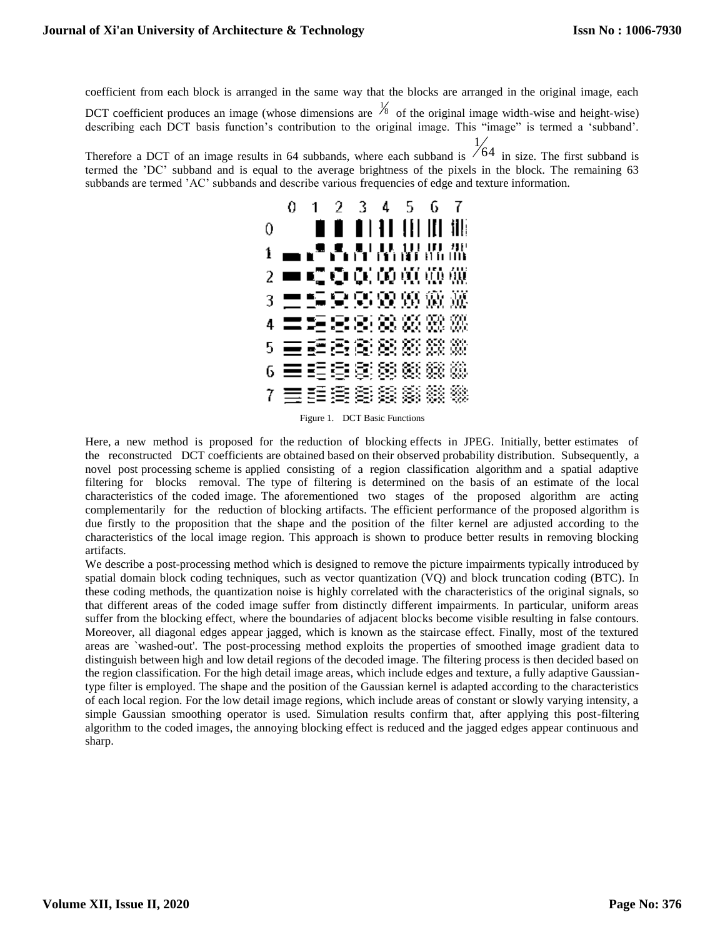coefficient from each block is arranged in the same way that the blocks are arranged in the original image, each

DCT coefficient produces an image (whose dimensions are  $\frac{1}{8}$  of the original image width-wise and height-wise) describing each DCT basis function's contribution to the original image. This "image" is termed a 'subband'. 1

Therefore a DCT of an image results in 64 subbands, where each subband is  $\sqrt{64}$ in size. The first subband is termed the 'DC' subband and is equal to the average brightness of the pixels in the block. The remaining 63 subbands are termed 'AC' subbands and describe various frequencies of edge and texture information.



Figure 1. DCT Basic Functions

Here, a new method is proposed for the reduction of blocking effects in JPEG. Initially, better estimates of the reconstructed DCT coefficients are obtained based on their observed probability distribution. Subsequently, a novel post processing scheme is applied consisting of a region classification algorithm and a spatial adaptive filtering for blocks removal. The type of filtering is determined on the basis of an estimate of the local characteristics of the coded image. The aforementioned two stages of the proposed algorithm are acting complementarily for the reduction of blocking artifacts. The efficient performance of the proposed algorithm is due firstly to the proposition that the shape and the position of the filter kernel are adjusted according to the characteristics of the local image region. This approach is shown to produce better results in removing blocking artifacts.

We describe a post-processing method which is designed to remove the picture impairments typically introduced by spatial domain block coding techniques, such as vector quantization (VQ) and block truncation coding (BTC). In these coding methods, the quantization noise is highly correlated with the characteristics of the original signals, so that different areas of the coded image suffer from distinctly different impairments. In particular, uniform areas suffer from the blocking effect, where the boundaries of adjacent blocks become visible resulting in false contours. Moreover, all diagonal edges appear jagged, which is known as the staircase effect. Finally, most of the textured areas are `washed-out'. The post-processing method exploits the properties of smoothed image gradient data to distinguish between high and low detail regions of the decoded image. The filtering process is then decided based on the region classification. For the high detail image areas, which include edges and texture, a fully adaptive Gaussiantype filter is employed. The shape and the position of the Gaussian kernel is adapted according to the characteristics of each local region. For the low detail image regions, which include areas of constant or slowly varying intensity, a simple Gaussian smoothing operator is used. Simulation results confirm that, after applying this post-filtering algorithm to the coded images, the annoying blocking effect is reduced and the jagged edges appear continuous and sharp.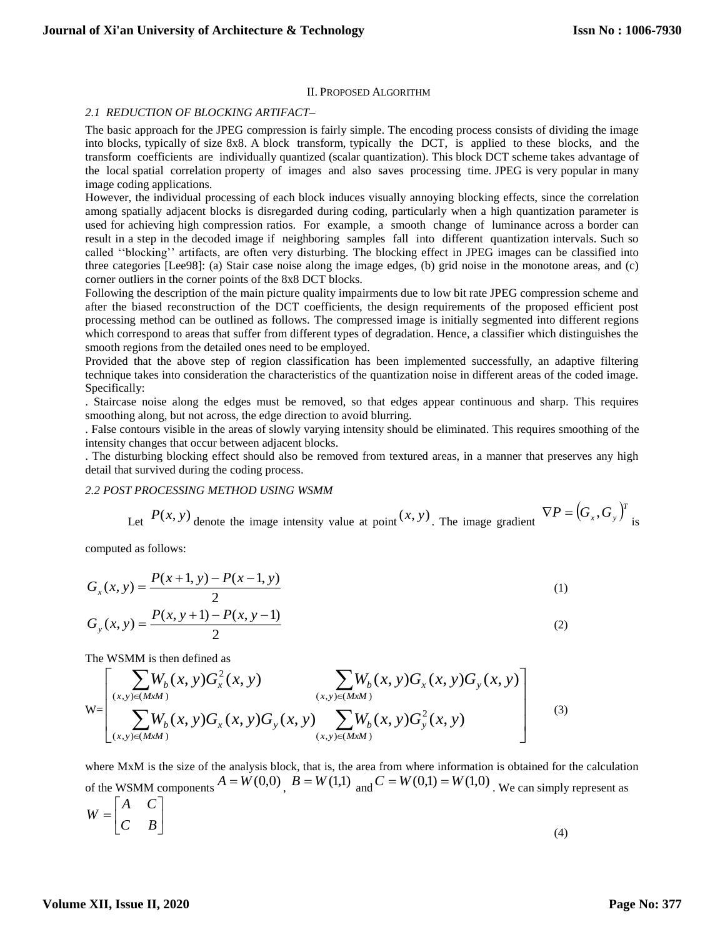#### II. PROPOSED ALGORITHM

#### *2.1 REDUCTION OF BLOCKING ARTIFACT–*

The basic approach for the JPEG compression is fairly simple. The encoding process consists of dividing the image into blocks, typically of size 8x8. A block transform, typically the DCT, is applied to these blocks, and the transform coefficients are individually quantized (scalar quantization). This block DCT scheme takes advantage of the local spatial correlation property of images and also saves processing time. JPEG is very popular in many image coding applications.

However, the individual processing of each block induces visually annoying blocking effects, since the correlation among spatially adjacent blocks is disregarded during coding, particularly when a high quantization parameter is used for achieving high compression ratios. For example, a smooth change of luminance across a border can result in a step in the decoded image if neighboring samples fall into different quantization intervals. Such so called ''blocking'' artifacts, are often very disturbing. The blocking effect in JPEG images can be classified into three categories [Lee98]: (a) Stair case noise along the image edges, (b) grid noise in the monotone areas, and (c) corner outliers in the corner points of the 8x8 DCT blocks.

Following the description of the main picture quality impairments due to low bit rate JPEG compression scheme and after the biased reconstruction of the DCT coefficients, the design requirements of the proposed efficient post processing method can be outlined as follows. The compressed image is initially segmented into different regions which correspond to areas that suffer from different types of degradation. Hence, a classifier which distinguishes the smooth regions from the detailed ones need to be employed.

Provided that the above step of region classification has been implemented successfully, an adaptive filtering technique takes into consideration the characteristics of the quantization noise in different areas of the coded image. Specifically:

. Staircase noise along the edges must be removed, so that edges appear continuous and sharp. This requires smoothing along, but not across, the edge direction to avoid blurring.

. False contours visible in the areas of slowly varying intensity should be eliminated. This requires smoothing of the intensity changes that occur between adjacent blocks.

. The disturbing blocking effect should also be removed from textured areas, in a manner that preserves any high detail that survived during the coding process.

#### *2.2 POST PROCESSING METHOD USING WSMM*

Let 
$$
P(x, y)
$$
 denote the image intensity value at point  $(x, y)$ . The image gradient  $\nabla P = (G_x, G_y)^T$  is

computed as follows:

$$
G_x(x, y) = \frac{P(x+1, y) - P(x-1, y)}{2}
$$
\n(1)

$$
G_y(x, y) = \frac{P(x, y+1) - P(x, y-1)}{2}
$$
\n(2)

The WSMM is then defined as

$$
\mathbf{W} = \begin{bmatrix} \sum_{(x,y)\in(MxM)} W_b(x,y)G_x^2(x,y) & \sum_{(x,y)\in(MxM)} W_b(x,y)G_x(x,y)G_y(x,y) \\ \sum_{(x,y)\in(MxM)} W_b(x,y)G_x(x,y)G_y(x,y) & \sum_{(x,y)\in(MxM)} W_b(x,y)G_y^2(x,y) \end{bmatrix}
$$
(3)

where MxM is the size of the analysis block, that is, the area from where information is obtained for the calculation of the WSMM components  $A = W(0,0)$ ,  $B = W(1,1)$  and  $C = W(0,1) = W(1,0)$ . We can simply represent as l  $\rfloor$ 1  $\mathsf{I}$ L  $=\begin{bmatrix} A & C \\ C & B \end{bmatrix}$ *A C W*

(4)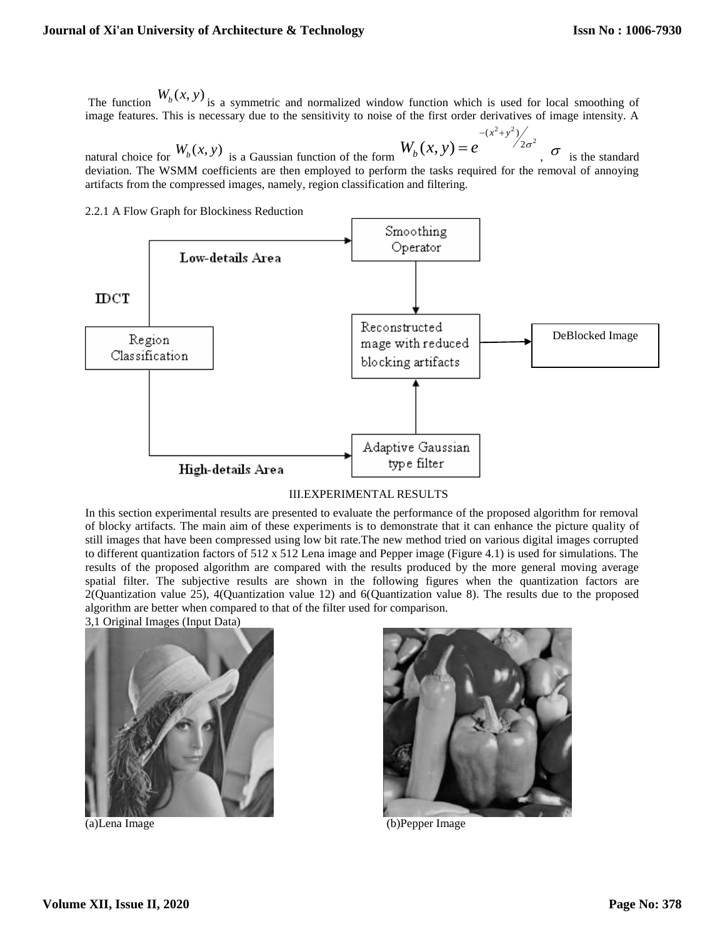2.2

 $(x^2 + y^2)$ 

 $-(x^2 + y)$ 

The function  $W_b(x, y)$  is a symmetric and normalized window function which is used for local smoothing of image features. This is necessary due to the sensitivity to noise of the first order derivatives of image intensity. A

natural choice for  $W_b(x, y)$  is a Gaussian function of the form  $W_b(x, y) = e$ 2 2 σ  $\sigma$  is the standard deviation. The WSMM coefficients are then employed to perform the tasks required for the removal of annoying artifacts from the compressed images, namely, region classification and filtering.

2.2.1 A Flow Graph for Blockiness Reduction



#### III.EXPERIMENTAL RESULTS

In this section experimental results are presented to evaluate the performance of the proposed algorithm for removal of blocky artifacts. The main aim of these experiments is to demonstrate that it can enhance the picture quality of still images that have been compressed using low bit rate.The new method tried on various digital images corrupted to different quantization factors of 512 x 512 Lena image and Pepper image (Figure 4.1) is used for simulations. The results of the proposed algorithm are compared with the results produced by the more general moving average spatial filter. The subjective results are shown in the following figures when the quantization factors are 2(Quantization value 25), 4(Quantization value 12) and 6(Quantization value 8). The results due to the proposed algorithm are better when compared to that of the filter used for comparison.

3,1 Original Images (Input Data)





(a)Lena Image (b)Pepper Image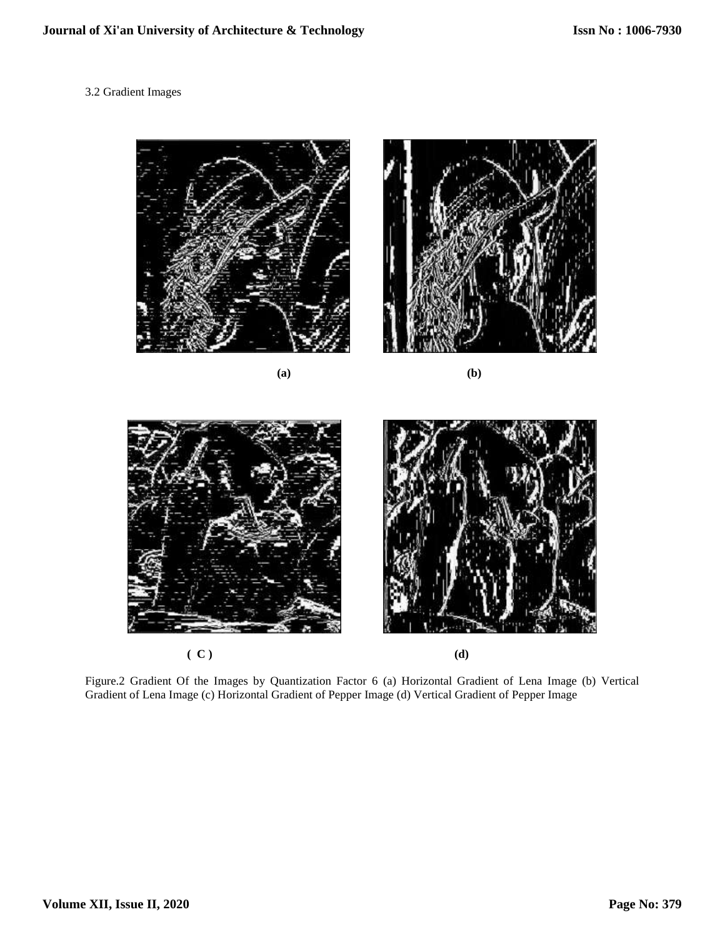# 3.2 Gradient Images



Figure.2 Gradient Of the Images by Quantization Factor 6 (a) Horizontal Gradient of Lena Image (b) Vertical Gradient of Lena Image (c) Horizontal Gradient of Pepper Image (d) Vertical Gradient of Pepper Image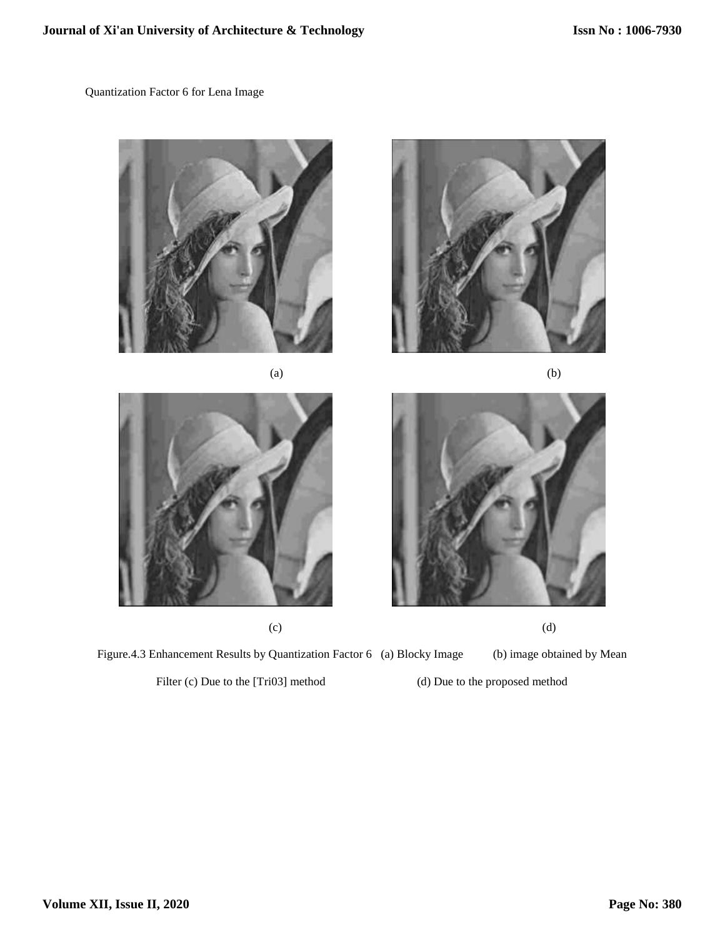Quantization Factor 6 for Lena Image



 $(c)$  (d)

Figure.4.3 Enhancement Results by Quantization Factor 6 (a) Blocky Image (b) image obtained by Mean

Filter (c) Due to the [Tri03] method (d) Due to the proposed method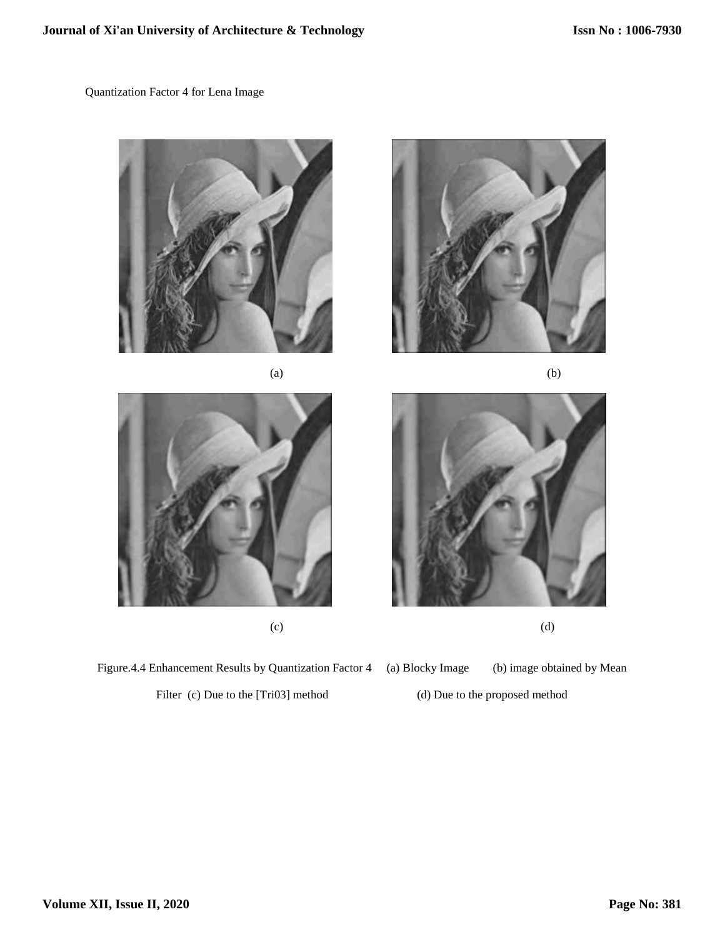Quantization Factor 4 for Lena Image



 $(a)$  (b)



 $(c)$  (d)





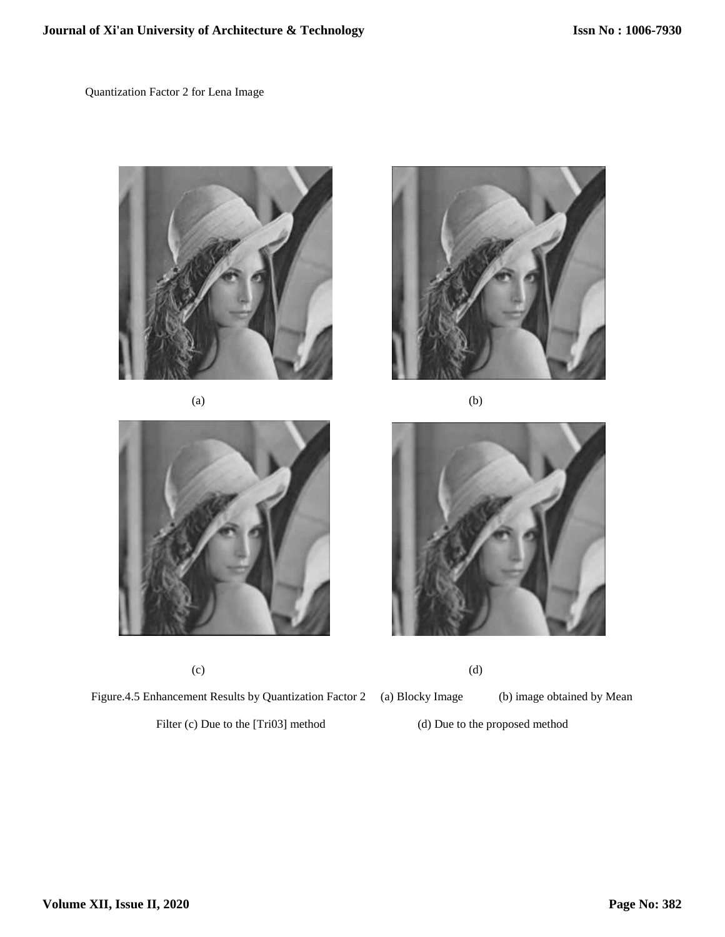Quantization Factor 2 for Lena Image



 $(a)$  (b)





 $(c)$  (d)



Figure.4.5 Enhancement Results by Quantization Factor 2 (a) Blocky Image (b) image obtained by Mean

Filter (c) Due to the [Tri03] method (d) Due to the proposed method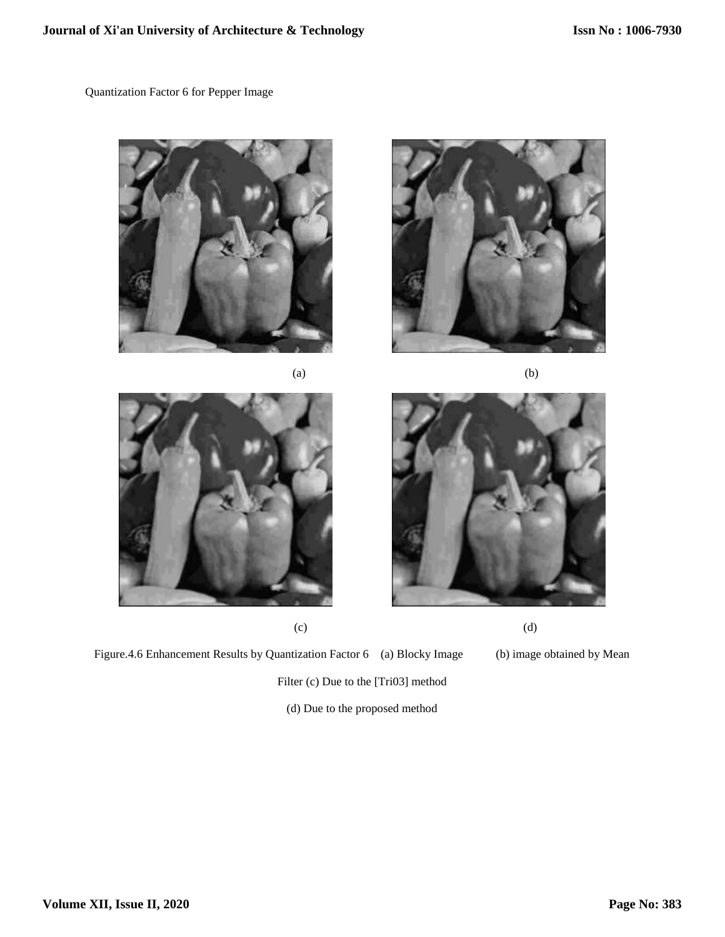Quantization Factor 6 for Pepper Image





 $(a)$  (b)





 $\qquad \qquad \textbf{(c)}\qquad \qquad \textbf{(d)}$ 

Figure.4.6 Enhancement Results by Quantization Factor 6 (a) Blocky Image (b) image obtained by Mean

Filter (c) Due to the [Tri03] method

(d) Due to the proposed method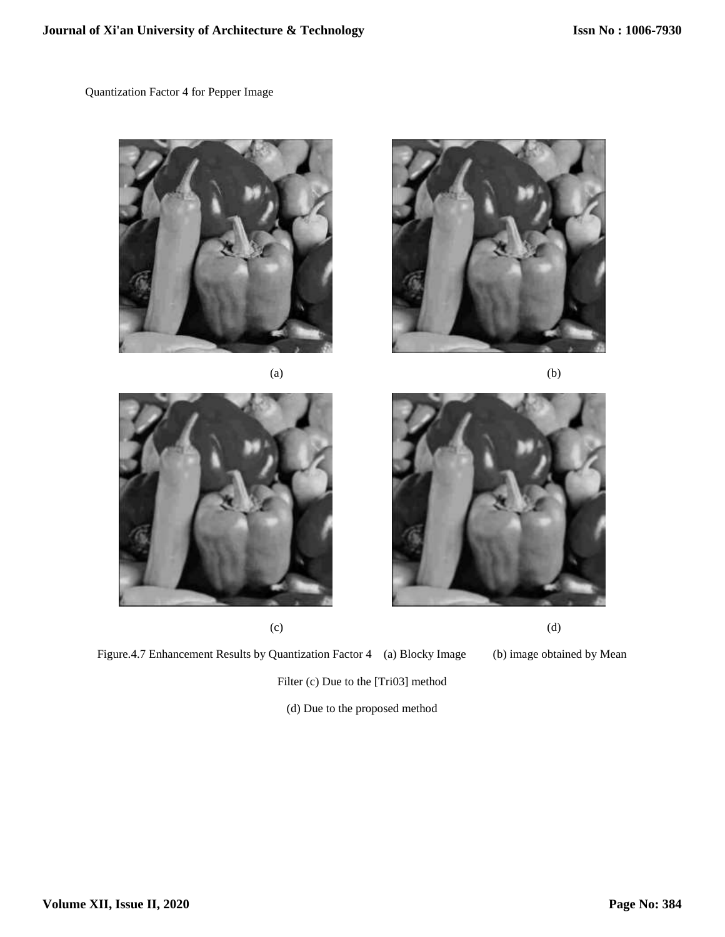Quantization Factor 4 for Pepper Image



 $(a)$  (b)







 $(c)$  (d)

Figure.4.7 Enhancement Results by Quantization Factor 4 (a) Blocky Image (b) image obtained by Mean Filter (c) Due to the [Tri03] method

(d) Due to the proposed method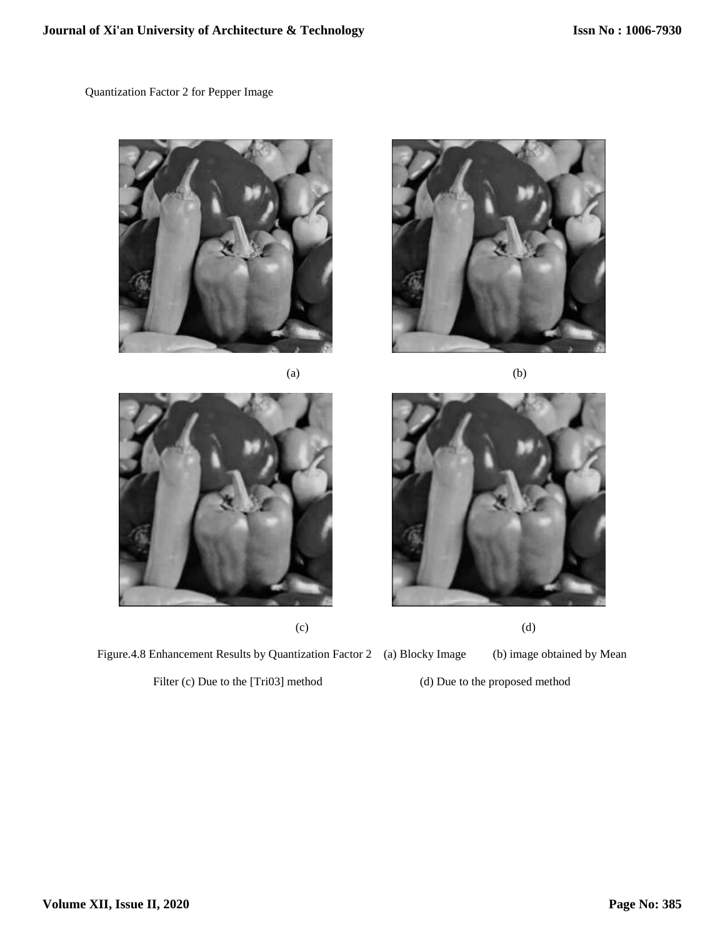Quantization Factor 2 for Pepper Image













 $(c)$  (d)

Figure.4.8 Enhancement Results by Quantization Factor 2 (a) Blocky Image (b) image obtained by Mean Filter (c) Due to the [Tri03] method (d) Due to the proposed method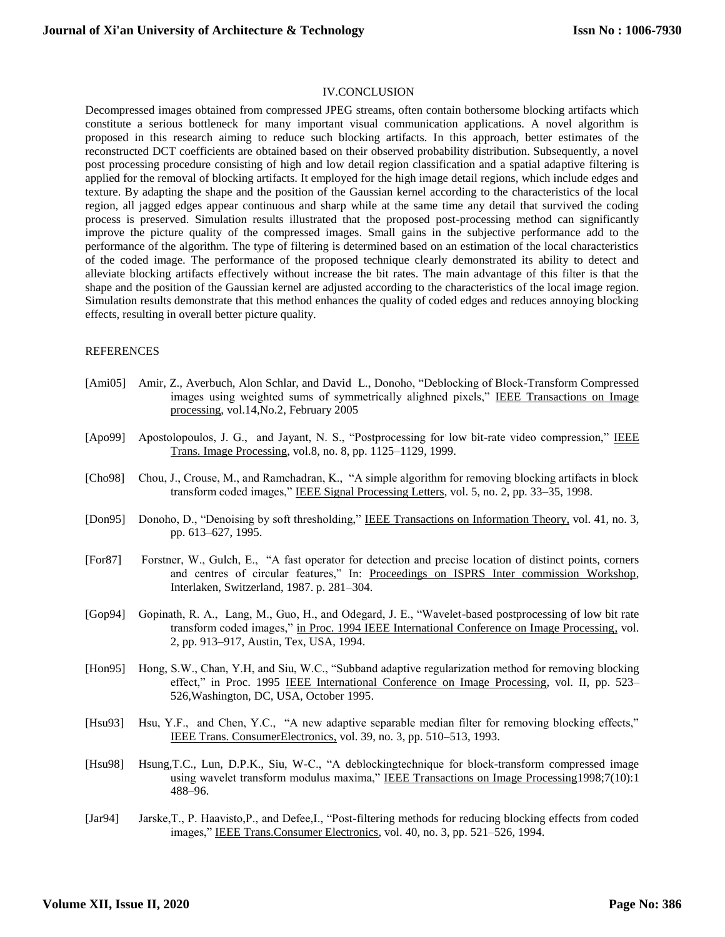## IV.CONCLUSION

Decompressed images obtained from compressed JPEG streams, often contain bothersome blocking artifacts which constitute a serious bottleneck for many important visual communication applications. A novel algorithm is proposed in this research aiming to reduce such blocking artifacts. In this approach, better estimates of the reconstructed DCT coefficients are obtained based on their observed probability distribution. Subsequently, a novel post processing procedure consisting of high and low detail region classification and a spatial adaptive filtering is applied for the removal of blocking artifacts. It employed for the high image detail regions, which include edges and texture. By adapting the shape and the position of the Gaussian kernel according to the characteristics of the local region, all jagged edges appear continuous and sharp while at the same time any detail that survived the coding process is preserved. Simulation results illustrated that the proposed post-processing method can significantly improve the picture quality of the compressed images. Small gains in the subjective performance add to the performance of the algorithm. The type of filtering is determined based on an estimation of the local characteristics of the coded image. The performance of the proposed technique clearly demonstrated its ability to detect and alleviate blocking artifacts effectively without increase the bit rates. The main advantage of this filter is that the shape and the position of the Gaussian kernel are adjusted according to the characteristics of the local image region. Simulation results demonstrate that this method enhances the quality of coded edges and reduces annoying blocking effects, resulting in overall better picture quality.

## **REFERENCES**

- [Ami05] Amir, Z., Averbuch, Alon Schlar, and David L., Donoho, "Deblocking of Block-Transform Compressed images using weighted sums of symmetrically alighned pixels," IEEE Transactions on Image processing, vol.14,No.2, February 2005
- [Apo99] Apostolopoulos, J. G., and Jayant, N. S., "Postprocessing for low bit-rate video compression," IEEE Trans. Image Processing, vol.8, no. 8, pp. 1125–1129, 1999.
- [Cho98] Chou, J., Crouse, M., and Ramchadran, K., "A simple algorithm for removing blocking artifacts in block transform coded images," IEEE Signal Processing Letters, vol. 5, no. 2, pp. 33-35, 1998.
- [Don95] Donoho, D., "Denoising by soft thresholding," IEEE Transactions on Information Theory, vol. 41, no. 3, pp. 613–627, 1995.
- [For87] Forstner, W., Gulch, E., "A fast operator for detection and precise location of distinct points, corners and centres of circular features," In: Proceedings on ISPRS Inter commission Workshop, Interlaken, Switzerland, 1987. p. 281–304.
- [Gop94] Gopinath, R. A., Lang, M., Guo, H., and Odegard, J. E., "Wavelet-based postprocessing of low bit rate transform coded images," in Proc. 1994 IEEE International Conference on Image Processing, vol. 2, pp. 913–917, Austin, Tex, USA, 1994.
- [Hon95] Hong, S.W., Chan, Y.H, and Siu, W.C., "Subband adaptive regularization method for removing blocking effect," in Proc. 1995 IEEE International Conference on Image Processing, vol. II, pp. 523– 526,Washington, DC, USA, October 1995.
- [Hsu93] Hsu, Y.F., and Chen, Y.C., "A new adaptive separable median filter for removing blocking effects," IEEE Trans. ConsumerElectronics, vol. 39, no. 3, pp. 510–513, 1993.
- [Hsu98] Hsung,T.C., Lun, D.P.K., Siu, W-C., "A deblockingtechnique for block-transform compressed image using wavelet transform modulus maxima," IEEE Transactions on Image Processing1998;7(10):1 488–96.
- [Jar94] Jarske,T., P. Haavisto,P., and Defee,I., "Post-filtering methods for reducing blocking effects from coded images," IEEE Trans.Consumer Electronics, vol. 40, no. 3, pp. 521–526, 1994.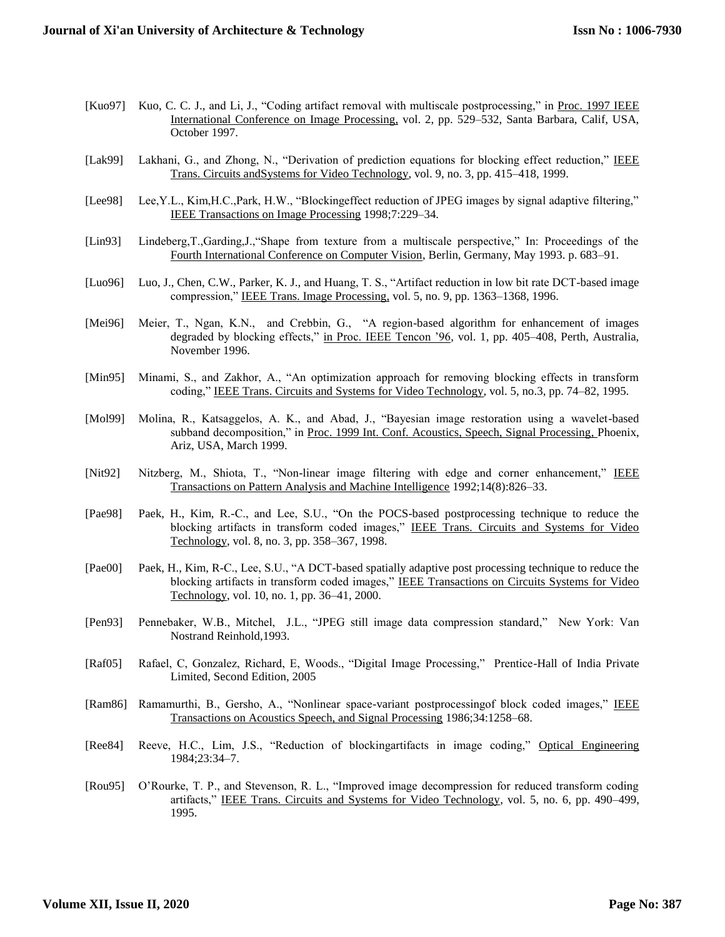- [Kuo97] Kuo, C. C. J., and Li, J., "Coding artifact removal with multiscale postprocessing," in Proc. 1997 IEEE International Conference on Image Processing, vol. 2, pp. 529–532, Santa Barbara, Calif, USA, October 1997.
- [Lak99] Lakhani, G., and Zhong, N., "Derivation of prediction equations for blocking effect reduction," IEEE Trans. Circuits andSystems for Video Technology, vol. 9, no. 3, pp. 415–418, 1999.
- [Lee98] Lee,Y.L., Kim,H.C.,Park, H.W., "Blockingeffect reduction of JPEG images by signal adaptive filtering," IEEE Transactions on Image Processing 1998;7:229–34.
- [Lin93] Lindeberg,T.,Garding,J.,"Shape from texture from a multiscale perspective," In: Proceedings of the Fourth International Conference on Computer Vision, Berlin, Germany, May 1993. p. 683–91.
- [Luo96] Luo, J., Chen, C.W., Parker, K. J., and Huang, T. S., "Artifact reduction in low bit rate DCT-based image compression," IEEE Trans. Image Processing, vol. 5, no. 9, pp. 1363–1368, 1996.
- [Mei96] Meier, T., Ngan, K.N., and Crebbin, G., "A region-based algorithm for enhancement of images degraded by blocking effects," in Proc. IEEE Tencon '96, vol. 1, pp. 405–408, Perth, Australia, November 1996.
- [Min95] Minami, S., and Zakhor, A., "An optimization approach for removing blocking effects in transform coding," IEEE Trans. Circuits and Systems for Video Technology, vol. 5, no.3, pp. 74–82, 1995.
- [Mol99] Molina, R., Katsaggelos, A. K., and Abad, J., "Bayesian image restoration using a wavelet-based subband decomposition," in Proc. 1999 Int. Conf. Acoustics, Speech, Signal Processing, Phoenix, Ariz, USA, March 1999.
- [Nit92] Nitzberg, M., Shiota, T., "Non-linear image filtering with edge and corner enhancement," IEEE Transactions on Pattern Analysis and Machine Intelligence 1992;14(8):826–33.
- [Pae98] Paek, H., Kim, R.-C., and Lee, S.U., "On the POCS-based postprocessing technique to reduce the blocking artifacts in transform coded images," IEEE Trans. Circuits and Systems for Video Technology, vol. 8, no. 3, pp. 358–367, 1998.
- [Pae00] Paek, H., Kim, R-C., Lee, S.U., "A DCT-based spatially adaptive post processing technique to reduce the blocking artifacts in transform coded images," IEEE Transactions on Circuits Systems for Video Technology, vol. 10, no. 1, pp. 36–41, 2000.
- [Pen93] Pennebaker, W.B., Mitchel, J.L., "JPEG still image data compression standard," New York: Van Nostrand Reinhold,1993.
- [Raf05] Rafael, C, Gonzalez, Richard, E, Woods., "Digital Image Processing," Prentice-Hall of India Private Limited, Second Edition, 2005
- [Ram86] Ramamurthi, B., Gersho, A., "Nonlinear space-variant postprocessingof block coded images," IEEE Transactions on Acoustics Speech, and Signal Processing 1986;34:1258–68.
- [Ree84] Reeve, H.C., Lim, J.S., "Reduction of blockingartifacts in image coding," Optical Engineering 1984;23:34–7.
- [Rou95] O'Rourke, T. P., and Stevenson, R. L., "Improved image decompression for reduced transform coding artifacts," IEEE Trans. Circuits and Systems for Video Technology, vol. 5, no. 6, pp. 490–499, 1995.